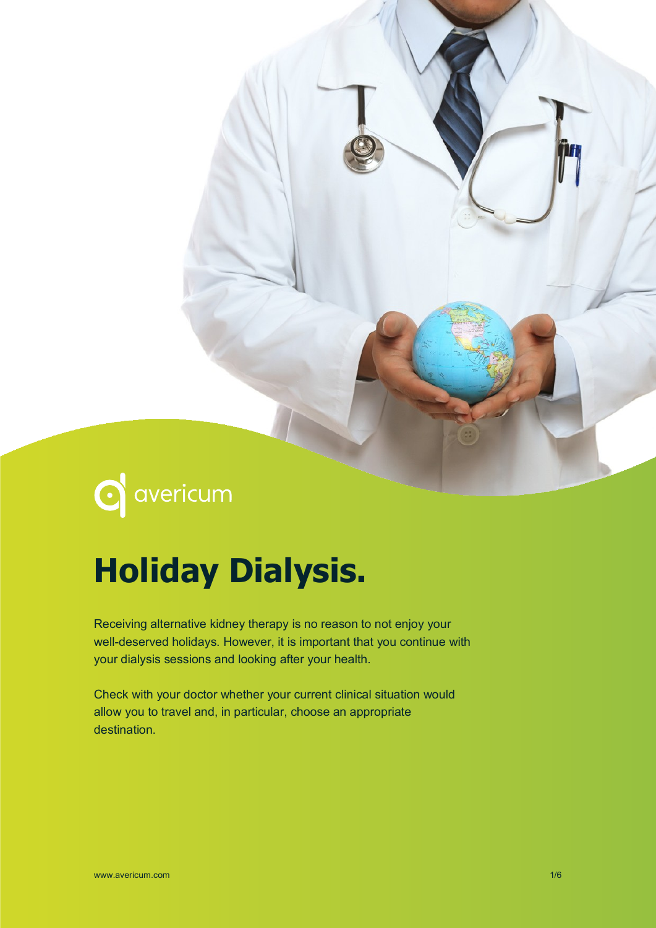# **C** avericum

# **Holiday Dialysis.**

Receiving alternative kidney therapy is no reason to not enjoy your well-deserved holidays. However, it is important that you continue with your dialysis sessions and looking after your health.

Check with your doctor whether your current clinical situation would allow you to travel and, in particular, choose an appropriate destination.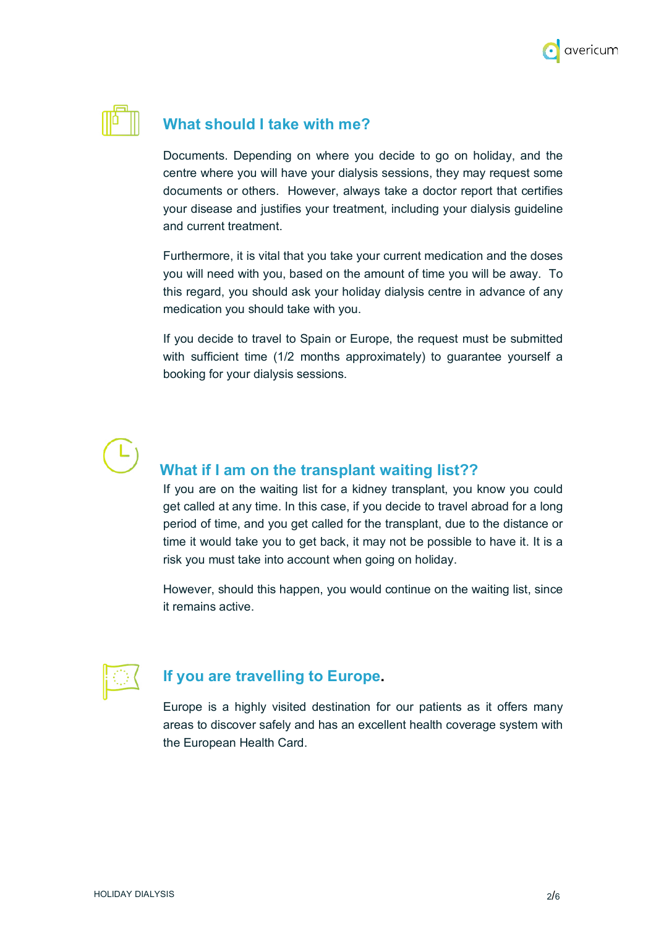



### **What should I take with me?**

Documents. Depending on where you decide to go on holiday, and the centre where you will have your dialysis sessions, they may request some documents or others. However, always take a doctor report that certifies your disease and justifies your treatment, including your dialysis guideline and current treatment.

Furthermore, it is vital that you take your current medication and the doses you will need with you, based on the amount of time you will be away. To this regard, you should ask your holiday dialysis centre in advance of any medication you should take with you.

If you decide to travel to Spain or Europe, the request must be submitted with sufficient time (1/2 months approximately) to guarantee yourself a booking for your dialysis sessions.

# **What if I am on the transplant waiting list??**

If you are on the waiting list for a kidney transplant, you know you could get called at any time. In this case, if you decide to travel abroad for a long period of time, and you get called for the transplant, due to the distance or time it would take you to get back, it may not be possible to have it. It is a risk you must take into account when going on holiday.

However, should this happen, you would continue on the waiting list, since it remains active.



# **If you are travelling to Europe.**

Europe is a highly visited destination for our patients as it offers many areas to discover safely and has an excellent health coverage system with the European Health Card.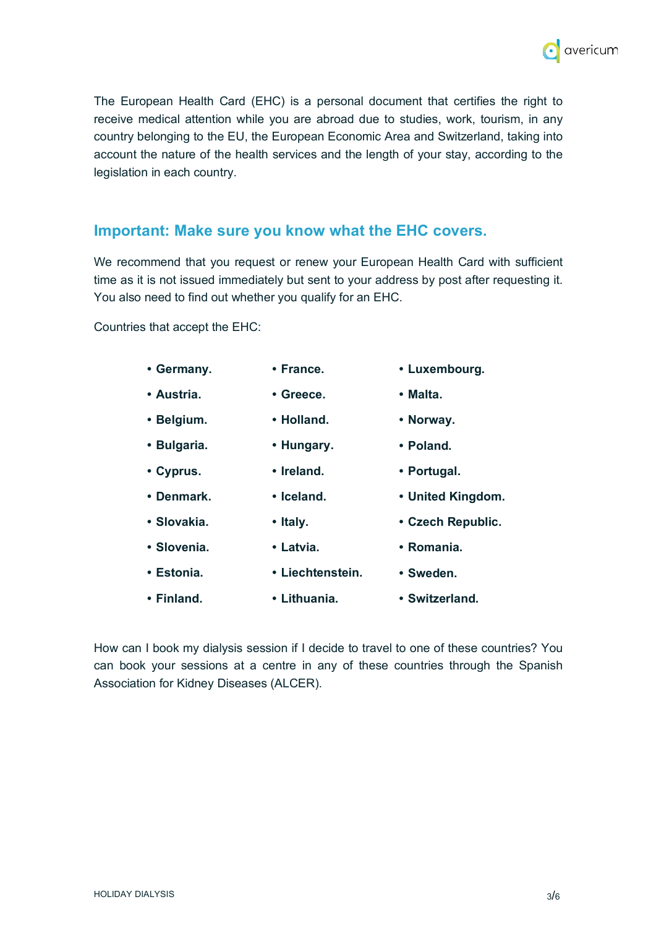

The European Health Card (EHC) is a personal document that certifies the right to receive medical attention while you are abroad due to studies, work, tourism, in any country belonging to the EU, the European Economic Area and Switzerland, taking into account the nature of the health services and the length of your stay, according to the legislation in each country.

### **Important: Make sure you know what the EHC covers.**

We recommend that you request or renew your European Health Card with sufficient time as it is not issued immediately but sent to your address by post after requesting it. You also need to find out whether you qualify for an EHC.

Countries that accept the EHC:

| • Germany.  | • France.        | • Luxembourg.     |
|-------------|------------------|-------------------|
| • Austria.  | • Greece.        | $\cdot$ Malta.    |
| • Belgium.  | • Holland.       | • Norway.         |
| • Bulgaria. | • Hungary.       | • Poland.         |
| • Cyprus.   | • Ireland.       | • Portugal.       |
| • Denmark.  | • Iceland.       | • United Kingdom. |
| • Slovakia. | • Italy.         | • Czech Republic. |
| • Slovenia. | • Latvia.        | • Romania.        |
| • Estonia.  | • Liechtenstein. | • Sweden.         |
| • Finland.  | • Lithuania.     | • Switzerland.    |

How can I book my dialysis session if I decide to travel to one of these countries? You can book your sessions at a centre in any of these countries through the Spanish Association for Kidney Diseases (ALCER).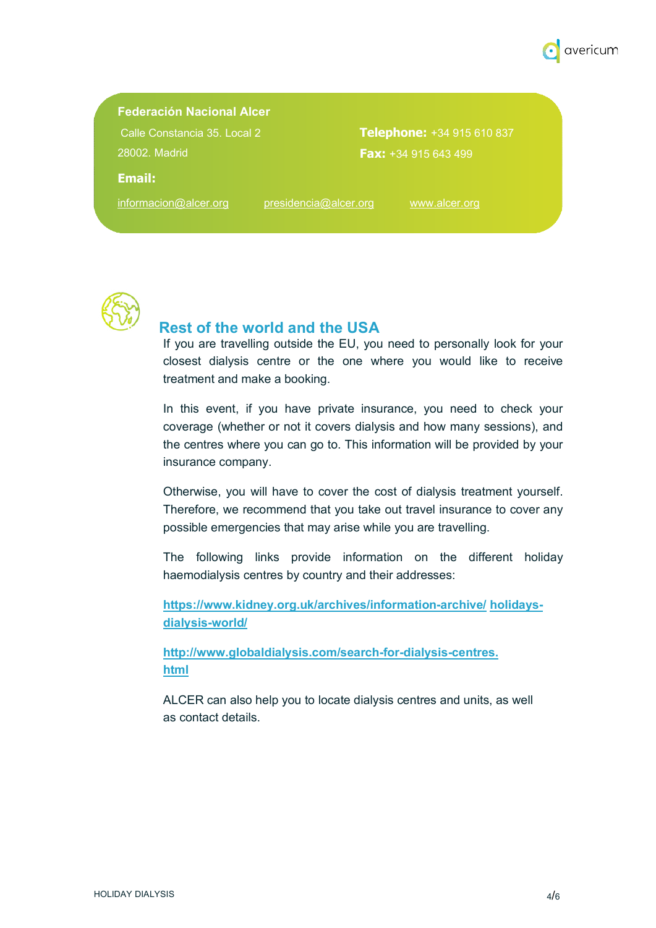

#### **Federación Nacional Alcer**

Calle Constancia 35. Local 2 28002. Madrid

**Telephone:** +34 915 610 837 **Fax:** +34 915 643 499

#### **Email:**

informacion@alcer.org presidencia@alcer.org www.alcer.org



### **Rest of the world and the USA**

If you are travelling outside the EU, you need to personally look for your closest dialysis centre or the one where you would like to receive treatment and make a booking.

In this event, if you have private insurance, you need to check your coverage (whether or not it covers dialysis and how many sessions), and the centres where you can go to. This information will be provided by your insurance company.

Otherwise, you will have to cover the cost of dialysis treatment yourself. Therefore, we recommend that you take out travel insurance to cover any possible emergencies that may arise while you are travelling.

The following links provide information on the different holiday haemodialysis centres by country and their addresses:

**https://www.kidney.org.uk/archives/information-archive/ holidaysdialysis-world/**

**http://www.globaldialysis.com/search-for-dialysis-centres. html**

ALCER can also help you to locate dialysis centres and units, as well as contact details.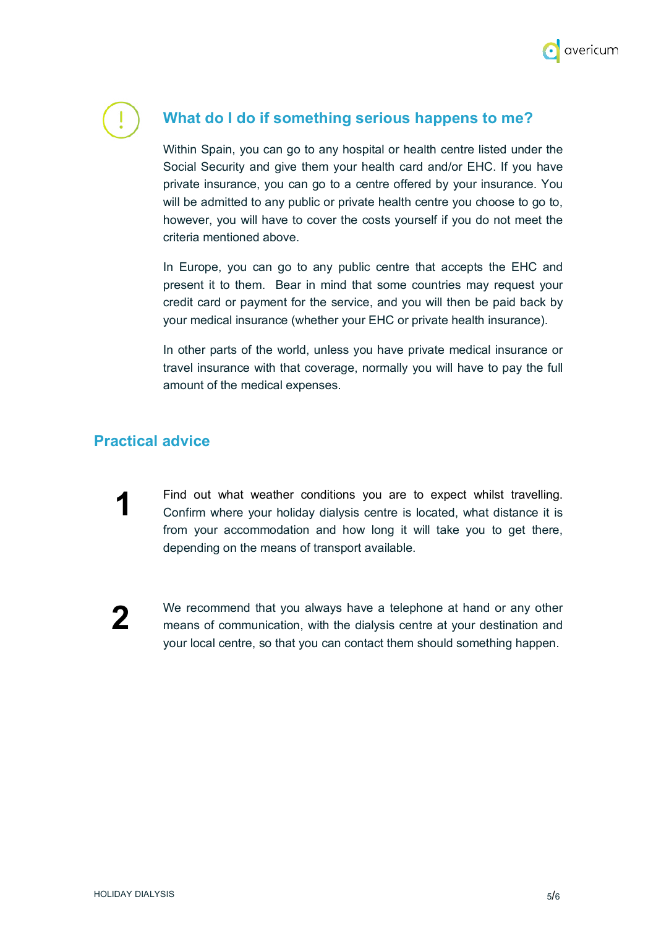

# **What do I do if something serious happens to me?**

Within Spain, you can go to any hospital or health centre listed under the Social Security and give them your health card and/or EHC. If you have private insurance, you can go to a centre offered by your insurance. You will be admitted to any public or private health centre you choose to go to, however, you will have to cover the costs yourself if you do not meet the criteria mentioned above.

In Europe, you can go to any public centre that accepts the EHC and present it to them. Bear in mind that some countries may request your credit card or payment for the service, and you will then be paid back by your medical insurance (whether your EHC or private health insurance).

In other parts of the world, unless you have private medical insurance or travel insurance with that coverage, normally you will have to pay the full amount of the medical expenses.

# **Practical advice**

Find out what weather conditions you are to expect whilst travelling. Confirm where your holiday dialysis centre is located, what distance it is from your accommodation and how long it will take you to get there, depending on the means of transport available. **1**

**2**

We recommend that you always have a telephone at hand or any other means of communication, with the dialysis centre at your destination and your local centre, so that you can contact them should something happen.